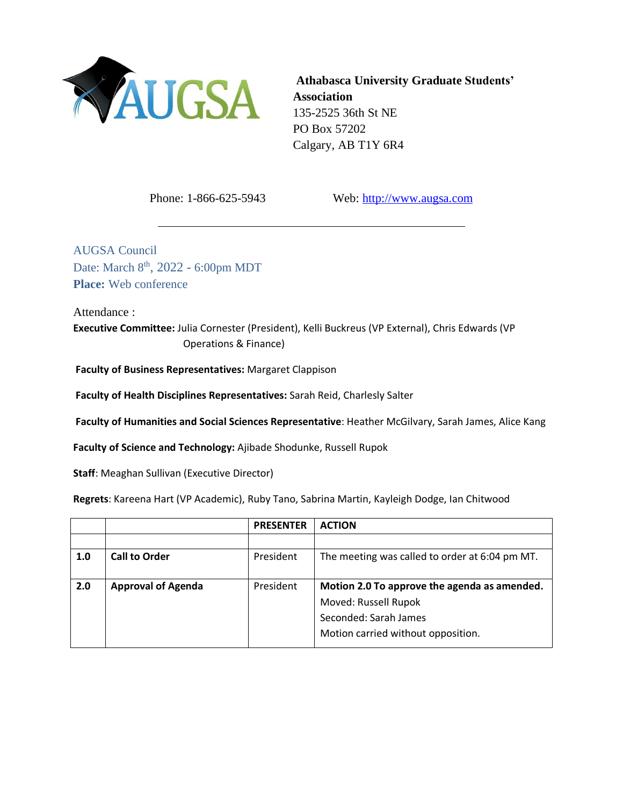

**Athabasca University Graduate Students' Association** 135-2525 36th St NE PO Box 57202 Calgary, AB T1Y 6R4

Phone: 1-866-625-5943 Web: [http://www.augsa.com](http://www.augsa.com/)

AUGSA Council Date: March 8<sup>th</sup>, 2022 - 6:00pm MDT **Place:** Web conference

Attendance :

**Executive Committee:** Julia Cornester (President), Kelli Buckreus (VP External), Chris Edwards (VP Operations & Finance)

**Faculty of Business Representatives:** Margaret Clappison

**Faculty of Health Disciplines Representatives:** Sarah Reid, Charlesly Salter

**Faculty of Humanities and Social Sciences Representative**: Heather McGilvary, Sarah James, Alice Kang

**Faculty of Science and Technology:** Ajibade Shodunke, Russell Rupok

**Staff**: Meaghan Sullivan (Executive Director)

**Regrets**: Kareena Hart (VP Academic), Ruby Tano, Sabrina Martin, Kayleigh Dodge, Ian Chitwood

|     |                           | <b>PRESENTER</b> | <b>ACTION</b>                                  |
|-----|---------------------------|------------------|------------------------------------------------|
|     |                           |                  |                                                |
| 1.0 | <b>Call to Order</b>      | President        | The meeting was called to order at 6:04 pm MT. |
|     |                           |                  |                                                |
| 2.0 | <b>Approval of Agenda</b> | President        | Motion 2.0 To approve the agenda as amended.   |
|     |                           |                  | Moved: Russell Rupok                           |
|     |                           |                  | Seconded: Sarah James                          |
|     |                           |                  | Motion carried without opposition.             |
|     |                           |                  |                                                |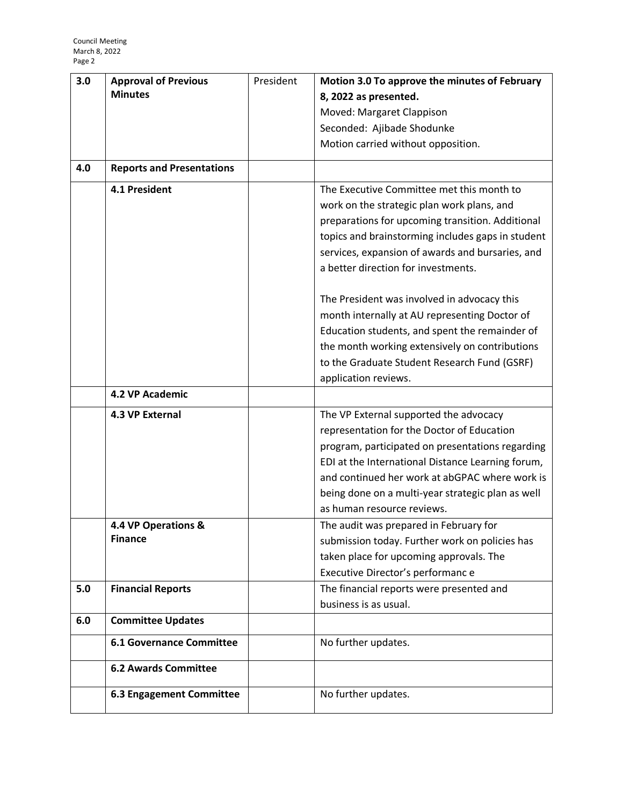| 3.0 | <b>Approval of Previous</b>      | President | Motion 3.0 To approve the minutes of February     |
|-----|----------------------------------|-----------|---------------------------------------------------|
|     | <b>Minutes</b>                   |           | 8, 2022 as presented.                             |
|     |                                  |           | Moved: Margaret Clappison                         |
|     |                                  |           | Seconded: Ajibade Shodunke                        |
|     |                                  |           | Motion carried without opposition.                |
|     |                                  |           |                                                   |
| 4.0 | <b>Reports and Presentations</b> |           |                                                   |
|     | 4.1 President                    |           | The Executive Committee met this month to         |
|     |                                  |           | work on the strategic plan work plans, and        |
|     |                                  |           | preparations for upcoming transition. Additional  |
|     |                                  |           | topics and brainstorming includes gaps in student |
|     |                                  |           | services, expansion of awards and bursaries, and  |
|     |                                  |           | a better direction for investments.               |
|     |                                  |           |                                                   |
|     |                                  |           | The President was involved in advocacy this       |
|     |                                  |           | month internally at AU representing Doctor of     |
|     |                                  |           | Education students, and spent the remainder of    |
|     |                                  |           | the month working extensively on contributions    |
|     |                                  |           | to the Graduate Student Research Fund (GSRF)      |
|     |                                  |           | application reviews.                              |
|     | 4.2 VP Academic                  |           |                                                   |
|     | 4.3 VP External                  |           | The VP External supported the advocacy            |
|     |                                  |           | representation for the Doctor of Education        |
|     |                                  |           | program, participated on presentations regarding  |
|     |                                  |           | EDI at the International Distance Learning forum, |
|     |                                  |           | and continued her work at abGPAC where work is    |
|     |                                  |           | being done on a multi-year strategic plan as well |
|     |                                  |           | as human resource reviews.                        |
|     | 4.4 VP Operations &              |           | The audit was prepared in February for            |
|     | <b>Finance</b>                   |           | submission today. Further work on policies has    |
|     |                                  |           | taken place for upcoming approvals. The           |
|     |                                  |           | Executive Director's performanc e                 |
| 5.0 | <b>Financial Reports</b>         |           | The financial reports were presented and          |
|     |                                  |           | business is as usual.                             |
| 6.0 | <b>Committee Updates</b>         |           |                                                   |
|     | <b>6.1 Governance Committee</b>  |           | No further updates.                               |
|     | <b>6.2 Awards Committee</b>      |           |                                                   |
|     |                                  |           |                                                   |
|     | <b>6.3 Engagement Committee</b>  |           | No further updates.                               |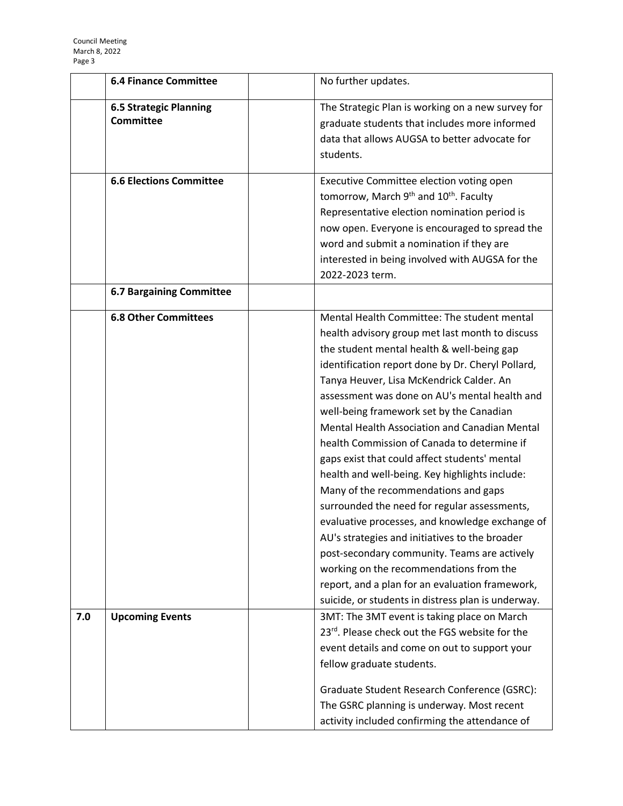|     | <b>6.4 Finance Committee</b>                                      | No further updates.                                                                                                                                                                                                                                                                                                                                                                                                                                                                                                                                                                                                                                                                                                                                                                                                                                                                                                                            |
|-----|-------------------------------------------------------------------|------------------------------------------------------------------------------------------------------------------------------------------------------------------------------------------------------------------------------------------------------------------------------------------------------------------------------------------------------------------------------------------------------------------------------------------------------------------------------------------------------------------------------------------------------------------------------------------------------------------------------------------------------------------------------------------------------------------------------------------------------------------------------------------------------------------------------------------------------------------------------------------------------------------------------------------------|
|     | <b>6.5 Strategic Planning</b><br><b>Committee</b>                 | The Strategic Plan is working on a new survey for<br>graduate students that includes more informed<br>data that allows AUGSA to better advocate for<br>students.                                                                                                                                                                                                                                                                                                                                                                                                                                                                                                                                                                                                                                                                                                                                                                               |
|     | <b>6.6 Elections Committee</b><br><b>6.7 Bargaining Committee</b> | Executive Committee election voting open<br>tomorrow, March 9 <sup>th</sup> and 10 <sup>th</sup> . Faculty<br>Representative election nomination period is<br>now open. Everyone is encouraged to spread the<br>word and submit a nomination if they are<br>interested in being involved with AUGSA for the<br>2022-2023 term.                                                                                                                                                                                                                                                                                                                                                                                                                                                                                                                                                                                                                 |
|     |                                                                   |                                                                                                                                                                                                                                                                                                                                                                                                                                                                                                                                                                                                                                                                                                                                                                                                                                                                                                                                                |
|     | <b>6.8 Other Committees</b>                                       | Mental Health Committee: The student mental<br>health advisory group met last month to discuss<br>the student mental health & well-being gap<br>identification report done by Dr. Cheryl Pollard,<br>Tanya Heuver, Lisa McKendrick Calder. An<br>assessment was done on AU's mental health and<br>well-being framework set by the Canadian<br>Mental Health Association and Canadian Mental<br>health Commission of Canada to determine if<br>gaps exist that could affect students' mental<br>health and well-being. Key highlights include:<br>Many of the recommendations and gaps<br>surrounded the need for regular assessments,<br>evaluative processes, and knowledge exchange of<br>AU's strategies and initiatives to the broader<br>post-secondary community. Teams are actively<br>working on the recommendations from the<br>report, and a plan for an evaluation framework,<br>suicide, or students in distress plan is underway. |
| 7.0 | <b>Upcoming Events</b>                                            | 3MT: The 3MT event is taking place on March<br>23rd. Please check out the FGS website for the<br>event details and come on out to support your<br>fellow graduate students.<br>Graduate Student Research Conference (GSRC):<br>The GSRC planning is underway. Most recent<br>activity included confirming the attendance of                                                                                                                                                                                                                                                                                                                                                                                                                                                                                                                                                                                                                    |